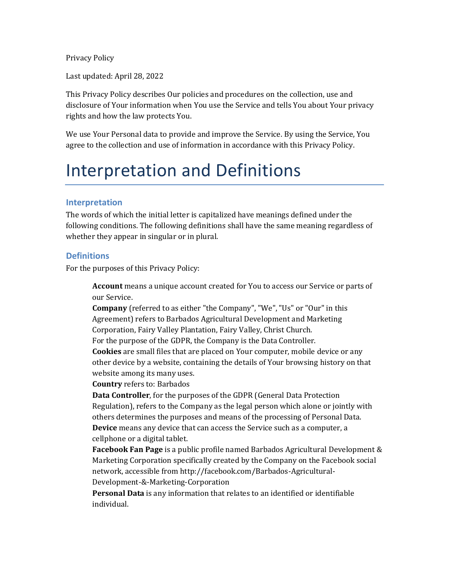Privacy Policy

Last updated: April 28, 2022

This Privacy Policy describes Our policies and procedures on the collection, use and disclosure of Your information when You use the Service and tells You about Your privacy rights and how the law protects You.

We use Your Personal data to provide and improve the Service. By using the Service, You agree to the collection and use of information in accordance with this Privacy Policy.

## Interpretation and Definitions

### **Interpretation**

The words of which the initial letter is capitalized have meanings defined under the following conditions. The following definitions shall have the same meaning regardless of whether they appear in singular or in plural.

#### **Definitions**

For the purposes of this Privacy Policy:

**Account** means a unique account created for You to access our Service or parts of our Service.

**Company** (referred to as either "the Company", "We", "Us" or "Our" in this Agreement) refers to Barbados Agricultural Development and Marketing Corporation, Fairy Valley Plantation, Fairy Valley, Christ Church. For the purpose of the GDPR, the Company is the Data Controller.

**Cookies** are small files that are placed on Your computer, mobile device or any other device by a website, containing the details of Your browsing history on that website among its many uses.

**Country** refers to: Barbados

**Data Controller**, for the purposes of the GDPR (General Data Protection Regulation), refers to the Company as the legal person which alone or jointly with others determines the purposes and means of the processing of Personal Data. **Device** means any device that can access the Service such as a computer, a cellphone or a digital tablet.

**Facebook Fan Page** is a public profile named Barbados Agricultural Development & Marketing Corporation specifically created by the Company on the Facebook social network, accessible fro[m http://facebook.com/Barbados-Agricultural-](http://facebook.com/Barbados-Agricultural-Development-&-Marketing-Corporation)[Development-&-Marketing-Corporation](http://facebook.com/Barbados-Agricultural-Development-&-Marketing-Corporation)

**Personal Data** is any information that relates to an identified or identifiable individual.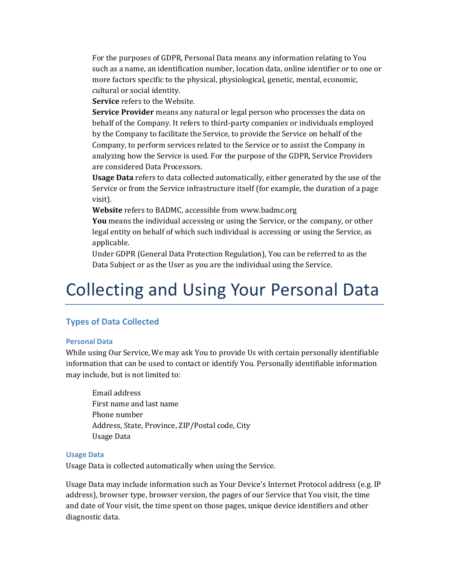For the purposes of GDPR, Personal Data means any information relating to You such as a name, an identification number, location data, online identifier or to one or more factors specific to the physical, physiological, genetic, mental, economic, cultural or social identity.

**Service** refers to the Website.

**Service Provider** means any natural or legal person who processes the data on behalf of the Company. It refers to third-party companies or individuals employed by the Company to facilitate the Service, to provide the Service on behalf of the Company, to perform services related to the Service or to assist the Company in analyzing how the Service is used. For the purpose of the GDPR, Service Providers are considered Data Processors.

**Usage Data** refers to data collected automatically, either generated by the use of the Service or from the Service infrastructure itself (for example, the duration of a page visit).

**Website** refers to BADMC, accessible fro[m www.badmc.org](www.badmc.org)

**You** means the individual accessing or using the Service, or the company, or other legal entity on behalf of which such individual is accessing or using the Service, as applicable.

Under GDPR (General Data Protection Regulation), You can be referred to as the Data Subject or as the User as you are the individual using the Service.

# Collecting and Using Your Personal Data

### **Types of Data Collected**

#### **Personal Data**

While using Our Service, We may ask You to provide Us with certain personally identifiable information that can be used to contact or identify You. Personally identifiable information may include, but is not limited to:

Email address First name and last name Phone number Address, State, Province, ZIP/Postal code, City Usage Data

#### **Usage Data**

Usage Data is collected automatically when using the Service.

Usage Data may include information such as Your Device's Internet Protocol address (e.g. IP address), browser type, browser version, the pages of our Service that You visit, the time and date of Your visit, the time spent on those pages, unique device identifiers and other diagnostic data.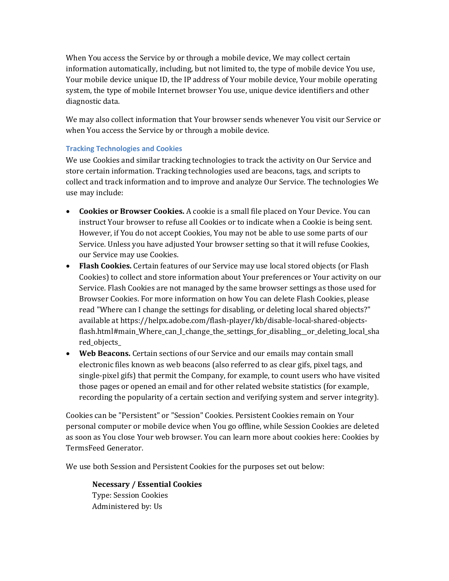When You access the Service by or through a mobile device, We may collect certain information automatically, including, but not limited to, the type of mobile device You use, Your mobile device unique ID, the IP address of Your mobile device, Your mobile operating system, the type of mobile Internet browser You use, unique device identifiers and other diagnostic data.

We may also collect information that Your browser sends whenever You visit our Service or when You access the Service by or through a mobile device.

#### **Tracking Technologies and Cookies**

We use Cookies and similar tracking technologies to track the activity on Our Service and store certain information. Tracking technologies used are beacons, tags, and scripts to collect and track information and to improve and analyze Our Service. The technologies We use may include:

- **Cookies or Browser Cookies.** A cookie is a small file placed on Your Device. You can instruct Your browser to refuse all Cookies or to indicate when a Cookie is being sent. However, if You do not accept Cookies, You may not be able to use some parts of our Service. Unless you have adjusted Your browser setting so that it will refuse Cookies, our Service may use Cookies.
- **Flash Cookies.** Certain features of our Service may use local stored objects (or Flash Cookies) to collect and store information about Your preferences or Your activity on our Service. Flash Cookies are not managed by the same browser settings as those used for Browser Cookies. For more information on how You can delete Flash Cookies, please read "Where can I change the settings for disabling, or deleting local shared objects?" available at [https://helpx.adobe.com/flash-player/kb/disable-local-shared-objects](https://helpx.adobe.com/flash-player/kb/disable-local-shared-objects-flash.html#main_Where_can_I_change_the_settings_for_disabling__or_deleting_local_shared_objects_)[flash.html#main\\_Where\\_can\\_I\\_change\\_the\\_settings\\_for\\_disabling\\_\\_or\\_deleting\\_local\\_sha](https://helpx.adobe.com/flash-player/kb/disable-local-shared-objects-flash.html#main_Where_can_I_change_the_settings_for_disabling__or_deleting_local_shared_objects_) [red\\_objects\\_](https://helpx.adobe.com/flash-player/kb/disable-local-shared-objects-flash.html#main_Where_can_I_change_the_settings_for_disabling__or_deleting_local_shared_objects_)
- **Web Beacons.** Certain sections of our Service and our emails may contain small electronic files known as web beacons (also referred to as clear gifs, pixel tags, and single-pixel gifs) that permit the Company, for example, to count users who have visited those pages or opened an email and for other related website statistics (for example, recording the popularity of a certain section and verifying system and server integrity).

Cookies can be "Persistent" or "Session" Cookies. Persistent Cookies remain on Your personal computer or mobile device when You go offline, while Session Cookies are deleted as soon as You close Your web browser. You can learn more about cookies here[: Cookies by](https://www.termsfeed.com/privacy-policy-generator/#faq-8)  [TermsFeed Generator.](https://www.termsfeed.com/privacy-policy-generator/#faq-8)

We use both Session and Persistent Cookies for the purposes set out below:

**Necessary / Essential Cookies** Type: Session Cookies Administered by: Us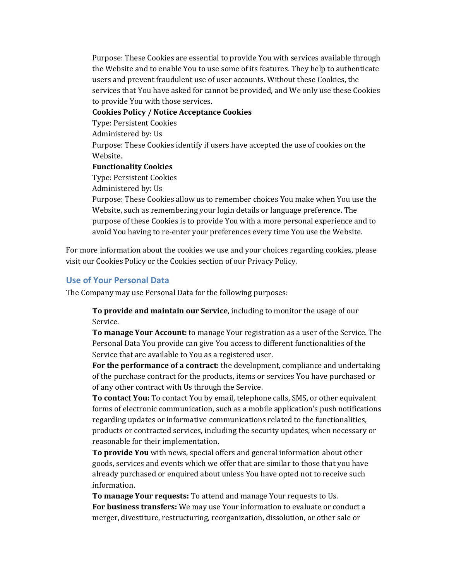Purpose: These Cookies are essential to provide You with services available through the Website and to enable You to use some of its features. They help to authenticate users and prevent fraudulent use of user accounts. Without these Cookies, the services that You have asked for cannot be provided, and We only use these Cookies to provide You with those services.

#### **Cookies Policy / Notice Acceptance Cookies**

Type: Persistent Cookies

Administered by: Us

Purpose: These Cookies identify if users have accepted the use of cookies on the Website.

#### **Functionality Cookies**

Type: Persistent Cookies

Administered by: Us

Purpose: These Cookies allow us to remember choices You make when You use the Website, such as remembering your login details or language preference. The purpose of these Cookies is to provide You with a more personal experience and to avoid You having to re-enter your preferences every time You use the Website.

For more information about the cookies we use and your choices regarding cookies, please visit our Cookies Policy or the Cookies section of our Privacy Policy.

#### **Use of Your Personal Data**

The Company may use Personal Data for the following purposes:

**To provide and maintain our Service**, including to monitor the usage of our Service.

**To manage Your Account:** to manage Your registration as a user of the Service. The Personal Data You provide can give You access to different functionalities of the Service that are available to You as a registered user.

**For the performance of a contract:** the development, compliance and undertaking of the purchase contract for the products, items or services You have purchased or of any other contract with Us through the Service.

**To contact You:** To contact You by email, telephone calls, SMS, or other equivalent forms of electronic communication, such as a mobile application's push notifications regarding updates or informative communications related to the functionalities, products or contracted services, including the security updates, when necessary or reasonable for their implementation.

**To provide You** with news, special offers and general information about other goods, services and events which we offer that are similar to those that you have already purchased or enquired about unless You have opted not to receive such information.

**To manage Your requests:** To attend and manage Your requests to Us. **For business transfers:** We may use Your information to evaluate or conduct a merger, divestiture, restructuring, reorganization, dissolution, or other sale or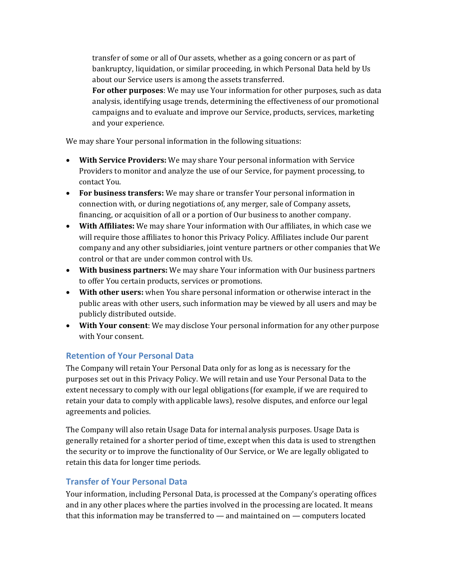transfer of some or all of Our assets, whether as a going concern or as part of bankruptcy, liquidation, or similar proceeding, in which Personal Data held by Us about our Service users is among the assets transferred.

**For other purposes**: We may use Your information for other purposes, such as data analysis, identifying usage trends, determining the effectiveness of our promotional campaigns and to evaluate and improve our Service, products, services, marketing and your experience.

We may share Your personal information in the following situations:

- **With Service Providers:** We may share Your personal information with Service Providers to monitor and analyze the use of our Service, for payment processing, to contact You.
- **For business transfers:** We may share or transfer Your personal information in connection with, or during negotiations of, any merger, sale of Company assets, financing, or acquisition of all or a portion of Our business to another company.
- **With Affiliates:** We may share Your information with Our affiliates, in which case we will require those affiliates to honor this Privacy Policy. Affiliates include Our parent company and any other subsidiaries, joint venture partners or other companies that We control or that are under common control with Us.
- **With business partners:** We may share Your information with Our business partners to offer You certain products, services or promotions.
- **With other users:** when You share personal information or otherwise interact in the public areas with other users, such information may be viewed by all users and may be publicly distributed outside.
- **With Your consent**: We may disclose Your personal information for any other purpose with Your consent.

## **Retention of Your Personal Data**

The Company will retain Your Personal Data only for as long as is necessary for the purposes set out in this Privacy Policy. We will retain and use Your Personal Data to the extent necessary to comply with our legal obligations (for example, if we are required to retain your data to comply with applicable laws), resolve disputes, and enforce our legal agreements and policies.

The Company will also retain Usage Data for internal analysis purposes. Usage Data is generally retained for a shorter period of time, except when this data is used to strengthen the security or to improve the functionality of Our Service, or We are legally obligated to retain this data for longer time periods.

## **Transfer of Your Personal Data**

Your information, including Personal Data, is processed at the Company's operating offices and in any other places where the parties involved in the processing are located. It means that this information may be transferred to — and maintained on — computers located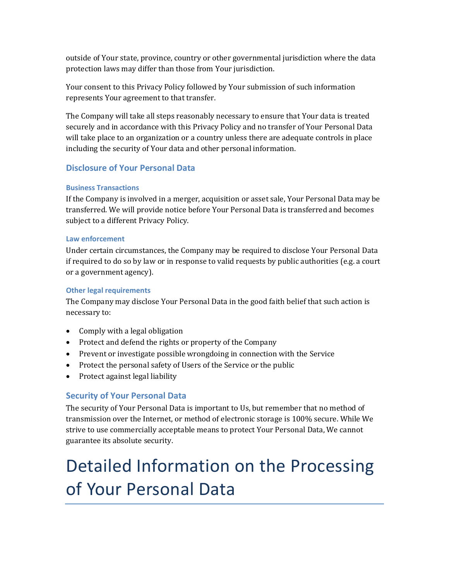outside of Your state, province, country or other governmental jurisdiction where the data protection laws may differ than those from Your jurisdiction.

Your consent to this Privacy Policy followed by Your submission of such information represents Your agreement to that transfer.

The Company will take all steps reasonably necessary to ensure that Your data is treated securely and in accordance with this Privacy Policy and no transfer of Your Personal Data will take place to an organization or a country unless there are adequate controls in place including the security of Your data and other personal information.

## **Disclosure of Your Personal Data**

#### **Business Transactions**

If the Company is involved in a merger, acquisition or asset sale, Your Personal Data may be transferred. We will provide notice before Your Personal Data is transferred and becomes subject to a different Privacy Policy.

#### **Law enforcement**

Under certain circumstances, the Company may be required to disclose Your Personal Data if required to do so by law or in response to valid requests by public authorities (e.g. a court or a government agency).

#### **Other legal requirements**

The Company may disclose Your Personal Data in the good faith belief that such action is necessary to:

- Comply with a legal obligation
- Protect and defend the rights or property of the Company
- Prevent or investigate possible wrongdoing in connection with the Service
- Protect the personal safety of Users of the Service or the public
- Protect against legal liability

## **Security of Your Personal Data**

The security of Your Personal Data is important to Us, but remember that no method of transmission over the Internet, or method of electronic storage is 100% secure. While We strive to use commercially acceptable means to protect Your Personal Data, We cannot guarantee its absolute security.

# Detailed Information on the Processing of Your Personal Data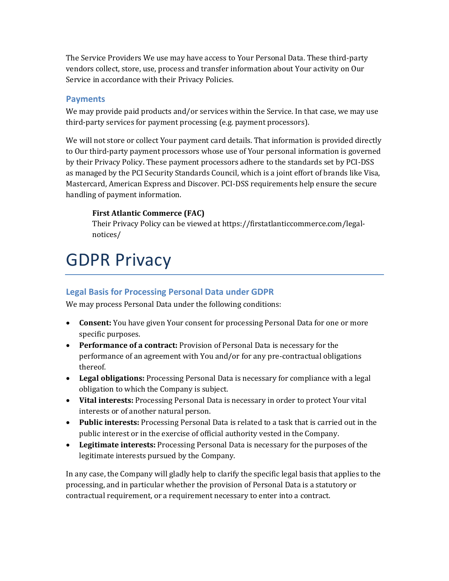The Service Providers We use may have access to Your Personal Data. These third-party vendors collect, store, use, process and transfer information about Your activity on Our Service in accordance with their Privacy Policies.

### **Payments**

We may provide paid products and/or services within the Service. In that case, we may use third-party services for payment processing (e.g. payment processors).

We will not store or collect Your payment card details. That information is provided directly to Our third-party payment processors whose use of Your personal information is governed by their Privacy Policy. These payment processors adhere to the standards set by PCI-DSS as managed by the PCI Security Standards Council, which is a joint effort of brands like Visa, Mastercard, American Express and Discover. PCI-DSS requirements help ensure the secure handling of payment information.

#### **First Atlantic Commerce (FAC)**

Their Privacy Policy can be viewed at [https://firstatlanticcommerce.com/legal](https://firstatlanticcommerce.com/legal-notices/)[notices/](https://firstatlanticcommerce.com/legal-notices/)

## GDPR Privacy

### **Legal Basis for Processing Personal Data under GDPR**

We may process Personal Data under the following conditions:

- **Consent:** You have given Your consent for processing Personal Data for one or more specific purposes.
- **Performance of a contract:** Provision of Personal Data is necessary for the performance of an agreement with You and/or for any pre-contractual obligations thereof.
- **Legal obligations:** Processing Personal Data is necessary for compliance with a legal obligation to which the Company is subject.
- **Vital interests:** Processing Personal Data is necessary in order to protect Your vital interests or of another natural person.
- **Public interests:** Processing Personal Data is related to a task that is carried out in the public interest or in the exercise of official authority vested in the Company.
- **Legitimate interests:** Processing Personal Data is necessary for the purposes of the legitimate interests pursued by the Company.

In any case, the Company will gladly help to clarify the specific legal basis that applies to the processing, and in particular whether the provision of Personal Data is a statutory or contractual requirement, or a requirement necessary to enter into a contract.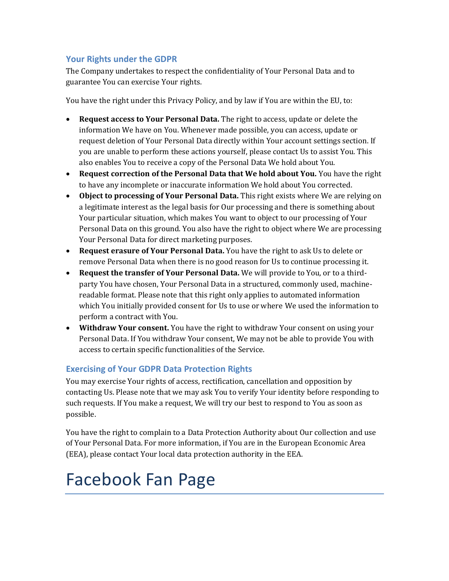## **Your Rights under the GDPR**

The Company undertakes to respect the confidentiality of Your Personal Data and to guarantee You can exercise Your rights.

You have the right under this Privacy Policy, and by law if You are within the EU, to:

- **Request access to Your Personal Data.** The right to access, update or delete the information We have on You. Whenever made possible, you can access, update or request deletion of Your Personal Data directly within Your account settings section. If you are unable to perform these actions yourself, please contact Us to assist You. This also enables You to receive a copy of the Personal Data We hold about You.
- **Request correction of the Personal Data that We hold about You.** You have the right to have any incomplete or inaccurate information We hold about You corrected.
- **Object to processing of Your Personal Data.** This right exists where We are relying on a legitimate interest as the legal basis for Our processing and there is something about Your particular situation, which makes You want to object to our processing of Your Personal Data on this ground. You also have the right to object where We are processing Your Personal Data for direct marketing purposes.
- **Request erasure of Your Personal Data.** You have the right to ask Us to delete or remove Personal Data when there is no good reason for Us to continue processing it.
- **Request the transfer of Your Personal Data.** We will provide to You, or to a thirdparty You have chosen, Your Personal Data in a structured, commonly used, machinereadable format. Please note that this right only applies to automated information which You initially provided consent for Us to use or where We used the information to perform a contract with You.
- **Withdraw Your consent.** You have the right to withdraw Your consent on using your Personal Data. If You withdraw Your consent, We may not be able to provide You with access to certain specific functionalities of the Service.

## **Exercising of Your GDPR Data Protection Rights**

You may exercise Your rights of access, rectification, cancellation and opposition by contacting Us. Please note that we may ask You to verify Your identity before responding to such requests. If You make a request, We will try our best to respond to You as soon as possible.

You have the right to complain to a Data Protection Authority about Our collection and use of Your Personal Data. For more information, if You are in the European Economic Area (EEA), please contact Your local data protection authority in the EEA.

# Facebook Fan Page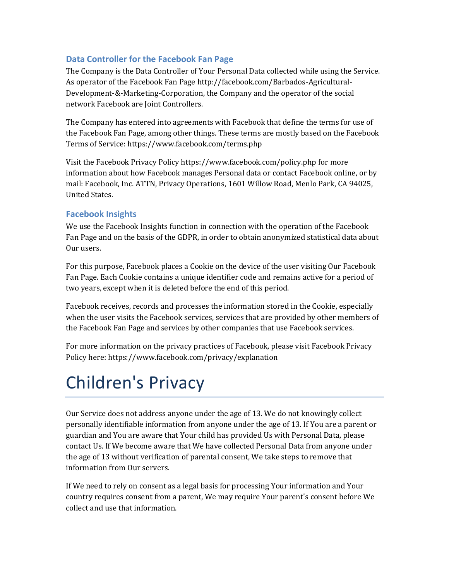## **Data Controller for the Facebook Fan Page**

The Company is the Data Controller of Your Personal Data collected while using the Service. As operator of the Facebook Fan Page [http://facebook.com/Barbados-Agricultural-](http://facebook.com/Barbados-Agricultural-Development-&-Marketing-Corporation)[Development-&-Marketing-Corporation,](http://facebook.com/Barbados-Agricultural-Development-&-Marketing-Corporation) the Company and the operator of the social network Facebook are Joint Controllers.

The Company has entered into agreements with Facebook that define the terms for use of the Facebook Fan Page, among other things. These terms are mostly based on the Facebook Terms of Service:<https://www.facebook.com/terms.php>

Visit the Facebook Privacy Policy<https://www.facebook.com/policy.php> for more information about how Facebook manages Personal data or contact Facebook online, or by mail: Facebook, Inc. ATTN, Privacy Operations, 1601 Willow Road, Menlo Park, CA 94025, United States.

## **Facebook Insights**

We use the Facebook Insights function in connection with the operation of the Facebook Fan Page and on the basis of the GDPR, in order to obtain anonymized statistical data about Our users.

For this purpose, Facebook places a Cookie on the device of the user visiting Our Facebook Fan Page. Each Cookie contains a unique identifier code and remains active for a period of two years, except when it is deleted before the end of this period.

Facebook receives, records and processes the information stored in the Cookie, especially when the user visits the Facebook services, services that are provided by other members of the Facebook Fan Page and services by other companies that use Facebook services.

For more information on the privacy practices of Facebook, please visit Facebook Privacy Policy here[: https://www.facebook.com/privacy/explanation](https://www.facebook.com/privacy/explanation)

# Children's Privacy

Our Service does not address anyone under the age of 13. We do not knowingly collect personally identifiable information from anyone under the age of 13. If You are a parent or guardian and You are aware that Your child has provided Us with Personal Data, please contact Us. If We become aware that We have collected Personal Data from anyone under the age of 13 without verification of parental consent, We take steps to remove that information from Our servers.

If We need to rely on consent as a legal basis for processing Your information and Your country requires consent from a parent, We may require Your parent's consent before We collect and use that information.